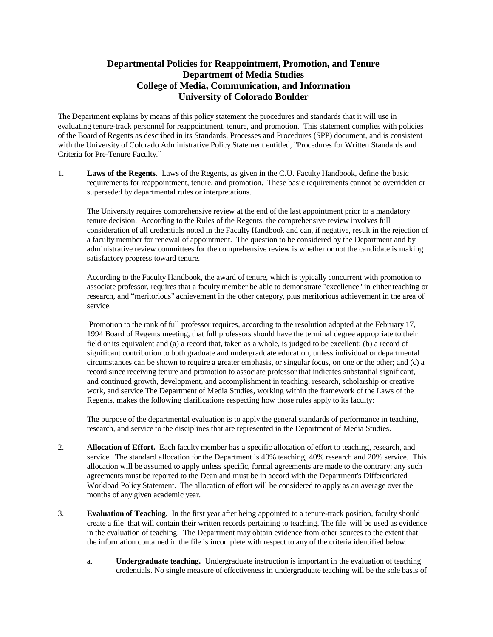## **Departmental Policies for Reappointment, Promotion, and Tenure Department of Media Studies College of Media, Communication, and Information University of Colorado Boulder**

The Department explains by means of this policy statement the procedures and standards that it will use in evaluating tenure-track personnel for reappointment, tenure, and promotion. This statement complies with policies of the Board of Regents as described in its Standards, Processes and Procedures (SPP) document, and is consistent with the University of Colorado Administrative Policy Statement entitled, "Procedures for Written Standards and Criteria for Pre-Tenure Faculty."

1. **Laws of the Regents.** Laws of the Regents, as given in the C.U. Faculty Handbook, define the basic requirements for reappointment, tenure, and promotion. These basic requirements cannot be overridden or superseded by departmental rules or interpretations.

The University requires comprehensive review at the end of the last appointment prior to a mandatory tenure decision. According to the Rules of the Regents, the comprehensive review involves full consideration of all credentials noted in the Faculty Handbook and can, if negative, result in the rejection of a faculty member for renewal of appointment. The question to be considered by the Department and by administrative review committees for the comprehensive review is whether or not the candidate is making satisfactory progress toward tenure.

According to the Faculty Handbook, the award of tenure, which is typically concurrent with promotion to associate professor, requires that a faculty member be able to demonstrate "excellence" in either teaching or research, and "meritorious" achievement in the other category, plus meritorious achievement in the area of service.

Promotion to the rank of full professor requires, according to the resolution adopted at the February 17, 1994 Board of Regents meeting, that full professors should have the terminal degree appropriate to their field or its equivalent and (a) a record that, taken as a whole, is judged to be excellent; (b) a record of significant contribution to both graduate and undergraduate education, unless individual or departmental circumstances can be shown to require a greater emphasis, or singular focus, on one or the other; and (c) a record since receiving tenure and promotion to associate professor that indicates substantial significant, and continued growth, development, and accomplishment in teaching, research, scholarship or creative work, and service.The Department of Media Studies, working within the framework of the Laws of the Regents, makes the following clarifications respecting how those rules apply to its faculty:

The purpose of the departmental evaluation is to apply the general standards of performance in teaching, research, and service to the disciplines that are represented in the Department of Media Studies.

- 2. **Allocation of Effort.** Each faculty member has a specific allocation of effort to teaching, research, and service. The standard allocation for the Department is 40% teaching, 40% research and 20% service. This allocation will be assumed to apply unless specific, formal agreements are made to the contrary; any such agreements must be reported to the Dean and must be in accord with the Department's Differentiated Workload Policy Statement. The allocation of effort will be considered to apply as an average over the months of any given academic year.
- 3. **Evaluation of Teaching.** In the first year after being appointed to a tenure-track position, faculty should create a file that will contain their written records pertaining to teaching. The file will be used as evidence in the evaluation of teaching. The Department may obtain evidence from other sources to the extent that the information contained in the file is incomplete with respect to any of the criteria identified below.
	- a. **Undergraduate teaching.** Undergraduate instruction is important in the evaluation of teaching credentials. No single measure of effectiveness in undergraduate teaching will be the sole basis of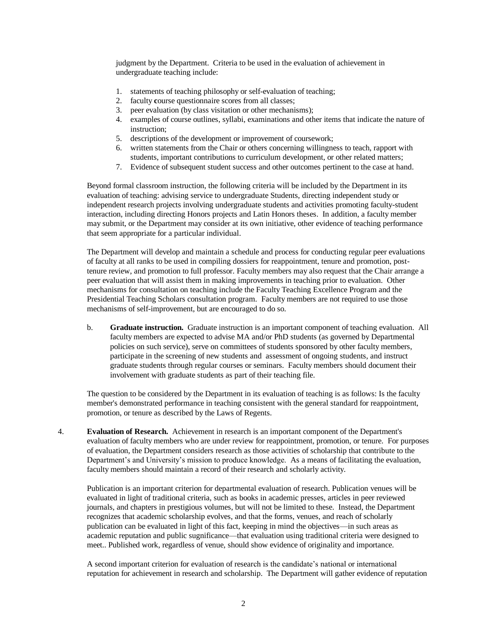judgment by the Department. Criteria to be used in the evaluation of achievement in undergraduate teaching include:

- 1. statements of teaching philosophy or self-evaluation of teaching;
- 2. faculty **c**ourse questionnaire scores from all classes;
- 3. peer evaluation (by class visitation or other mechanisms);
- 4. examples of course outlines, syllabi, examinations and other items that indicate the nature of instruction;
- 5. descriptions of the development or improvement of coursework;
- 6. written statements from the Chair or others concerning willingness to teach, rapport with students, important contributions to curriculum development, or other related matters;
- 7. Evidence of subsequent student success and other outcomes pertinent to the case at hand.

Beyond formal classroom instruction, the following criteria will be included by the Department in its evaluation of teaching: advising service to undergraduate Students, directing independent study or independent research projects involving undergraduate students and activities promoting faculty-student interaction, including directing Honors projects and Latin Honors theses. In addition, a faculty member may submit, or the Department may consider at its own initiative, other evidence of teaching performance that seem appropriate for a particular individual.

The Department will develop and maintain a schedule and process for conducting regular peer evaluations of faculty at all ranks to be used in compiling dossiers for reappointment, tenure and promotion, posttenure review, and promotion to full professor. Faculty members may also request that the Chair arrange a peer evaluation that will assist them in making improvements in teaching prior to evaluation. Other mechanisms for consultation on teaching include the Faculty Teaching Excellence Program and the Presidential Teaching Scholars consultation program.Faculty members are not required to use those mechanisms of self-improvement, but are encouraged to do so.

b. **Graduate instruction.** Graduate instruction is an important component of teaching evaluation. All faculty members are expected to advise MA and/or PhD students (as governed by Departmental policies on such service), serve on committees of students sponsored by other faculty members, participate in the screening of new students and assessment of ongoing students, and instruct graduate students through regular courses or seminars. Faculty members should document their involvement with graduate students as part of their teaching file.

The question to be considered by the Department in its evaluation of teaching is as follows: Is the faculty member's demonstrated performance in teaching consistent with the general standard for reappointment, promotion, or tenure as described by the Laws of Regents.

4. **Evaluation of Research.** Achievement in research is an important component of the Department's evaluation of faculty members who are under review for reappointment, promotion, or tenure. For purposes of evaluation, the Department considers research as those activities of scholarship that contribute to the Department's and University's mission to produce knowledge. As a means of facilitating the evaluation, faculty members should maintain a record of their research and scholarly activity.

Publication is an important criterion for departmental evaluation of research. Publication venues will be evaluated in light of traditional criteria, such as books in academic presses, articles in peer reviewed journals, and chapters in prestigious volumes, but will not be limited to these. Instead, the Department recognizes that academic scholarship evolves, and that the forms, venues, and reach of scholarly publication can be evaluated in light of this fact, keeping in mind the objectives—in such areas as academic reputation and public sugnificance—that evaluation using traditional criteria were designed to meet.. Published work, regardless of venue, should show evidence of originality and importance.

A second important criterion for evaluation of research is the candidate's national or international reputation for achievement in research and scholarship. The Department will gather evidence of reputation